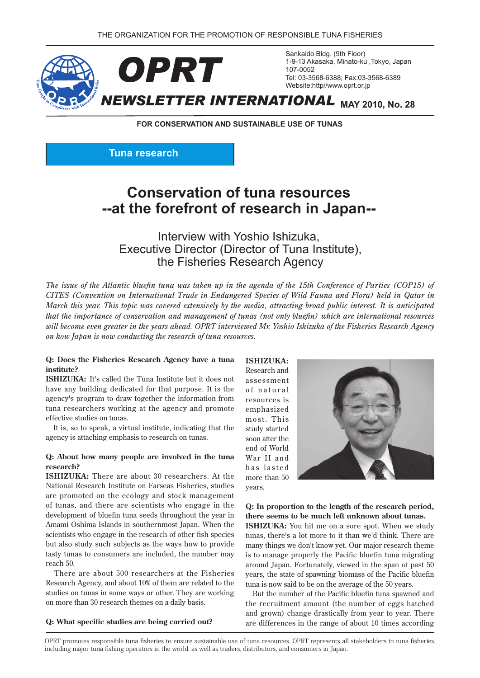

**FOR CONSERVATION AND SUSTAINABLE USE OF TUNAS** 

**Tuna research** 

# **Conservation of tuna resources** --at the forefront of research in Japan--

Interview with Yoshio Ishizuka. Executive Director (Director of Tuna Institute), the Fisheries Research Agency

*The issue of the Atlantic bluefin tuna was taken up in the agenda of the 15th Conference of Parties (COP15) of in Qatar in held) Flora and Fauna Wild of Species Endangered in Trade International on Convention (CITES March this year. This topic was covered extensively by the media, attracting broad public interest. It is anticipated that the importance of conservation and management of tunas (not only bluefin) which are international resources* will become even greater in the years ahead. OPRT interviewed Mr. Yoshio Ishizuka of the Fisheries Research Agency *on how Japan is now conducting the research of tuna resources.* 

#### **Q:** Does the Fisheries Research Agency have a tuna **?institute**

**ISHIZUKA:** It's called the Tuna Institute but it does not have any building dedicated for that purpose. It is the agency's program to draw together the information from tuna researchers working at the agency and promote effective studies on tunas.

It is, so to speak, a virtual institute, indicating that the agency is attaching emphasis to research on tunas.

#### **Q:** About how many people are involved in the tuna **?research**

**ISHIZUKA:** There are about 30 researchers. At the National Research Institute on Farseas Fisheries, studies are promoted on the ecology and stock management of tunas, and there are scientists who engage in the development of bluefin tuna seeds throughout the year in Amami Oshima Islands in southernmost Japan. When the scientists who engage in the research of other fish species but also study such subjects as the ways how to provide tasty tunas to consumers are included, the number may reach 50.

There are about 500 researchers at the Fisheries Research Agency, and about 10% of them are related to the studies on tunas in some ways or other. They are working on more than 30 research themes on a daily basis.

Q: What specific studies are being carried out?

 **:ISHIZUKA** Research and assessment of natural resources is emphasized most. This study started soon after the end of World War II and has lasted more than 50 years.



**Q:** In proportion to the length of the research period, there seems to be much left unknown about tunas.

**ISHIZUKA:** You hit me on a sore spot. When we study tunas, there's a lot more to it than we'd think. There are many things we don't know yet. Our major research theme is to manage properly the Pacific bluefin tuna migrating around Japan. Fortunately, viewed in the span of past 50 years, the state of spawning biomass of the Pacific bluefin tuna is now said to be on the average of the 50 years.

But the number of the Pacific bluefin tuna spawned and the recruitment amount (the number of eggs hatched and grown) change drastically from year to year. There are differences in the range of about 10 times according

OPRT promotes responsible tuna fisheries to ensure sustainable use of tuna resources. OPRT represents all stakeholders in tuna fisheries. including major tuna fishing operators in the world, as well as traders, distributors, and consumers in Japan.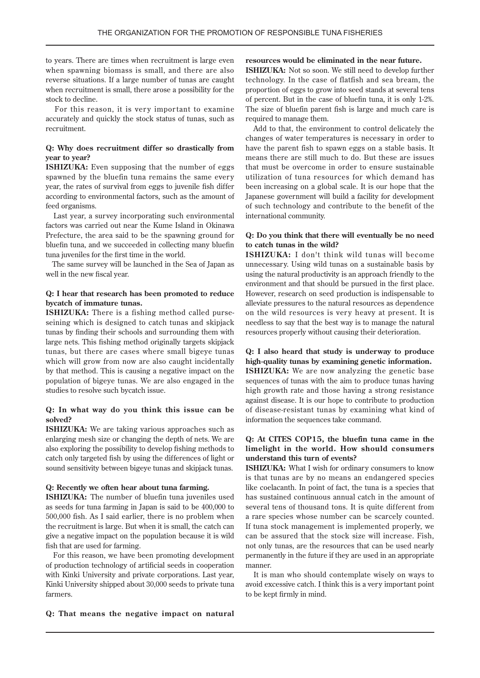to years. There are times when recruitment is large even when spawning biomass is small, and there are also reverse situations. If a large number of tunas are caught when recruitment is small, there arose a possibility for the stock to decline.

For this reason, it is very important to examine accurately and quickly the stock status of tunas, such as .recruitment

#### **Q:** Why does recruitment differ so drastically from **?year to year**

**ISHIZUKA:** Even supposing that the number of eggs spawned by the bluefin tuna remains the same every year, the rates of survival from eggs to juvenile fish differ according to environmental factors, such as the amount of feed organisms.

Last year, a survey incorporating such environmental factors was carried out near the Kume Island in Okinawa Frefecture, the area said to be the spawning ground for bluefin tuna, and we succeeded in collecting many bluefin tuna juveniles for the first time in the world.

The same survey will be launched in the Sea of Japan as well in the new fiscal year.

#### **Q:** I hear that research has been promoted to reduce **bycatch** of immature tunas.

**ISHIZUKA:** There is a fishing method called purse-<br>seining which is designed to catch tunas and skipjack tunas by finding their schools and surrounding them with large nets. This fishing method originally targets skipjack tunas, but there are cases where small bigeye tunas which will grow from now are also caught incidentally by that method. This is causing a negative impact on the population of bigeye tunas. We are also engaged in the studies to resolve such bycatch issue.

#### **Q:** In what way do you think this issue can be **?solved**

**ISHIZUKA:** We are taking various approaches such as enlarging mesh size or changing the depth of nets. We are also exploring the possibility to develop fishing methods to catch only targeted fish by using the differences of light or sound sensitivity between bigeye tunas and skipjack tunas.

#### **Q:** Recently we often hear about tuna farming.

**ISHIZUKA:** The number of bluefin tuna juveniles used as seeds for tuna farming in Japan is said to be  $400,000$  to  $500,000$  fish. As I said earlier, there is no problem when the recruitment is large. But when it is small, the catch can give a negative impact on the population because it is wild fish that are used for farming.

For this reason, we have been promoting development of production technology of artificial seeds in cooperation with Kinki University and private corporations. Last year, Kinki University shipped about 30,000 seeds to private tuna farmers.

#### resources would be eliminated in the near future.

**ISHIZUKA:** Not so soon. We still need to develop further technology. In the case of flatfish and sea bream, the proportion of eggs to grow into seed stands at several tens of percent. But in the case of bluefin tuna, it is only 1-2%. The size of bluefin parent fish is large and much care is required to manage them.

Add to that, the environment to control delicately the changes of water temperatures is necessary in order to have the parent fish to spawn eggs on a stable basis. It means there are still much to do. But these are issues that must be overcome in order to ensure sustainable utilization of tuna resources for which demand has been increasing on a global scale. It is our hope that the Japanese government will build a facility for development of such technology and contribute to the benefit of the international community.

#### **Q:** Do you think that there will eventually be no need to catch tunas in the wild?

**ISHIZUKA:** I don't think wild tunas will become unnecessary. Using wild tunas on a sustainable basis by using the natural productivity is an approach friendly to the environment and that should be pursued in the first place. However, research on seed production is indispensable to alleviate pressures to the natural resources as dependence on the wild resources is very heavy at present. It is needless to say that the best way is to manage the natural resources properly without causing their deterioration.

**Q:** I also heard that study is underway to produce high-quality tunas by examining genetic information. ISHIZUKA: We are now analyzing the genetic base sequences of tunas with the aim to produce tunas having high growth rate and those having a strong resistance against disease. It is our hope to contribute to production of disease-resistant tunas by examining what kind of information the sequences take command.

#### **Q:** At CITES COP15, the bluefin tuna came in the limelight in the world. How should consumers understand this turn of events?

**KSHIZUKA:** What I wish for ordinary consumers to know is that tunas are by no means an endangered species like coelacanth. In point of fact, the tuna is a species that has sustained continuous annual catch in the amount of several tens of thousand tons. It is quite different from a rare species whose number can be scarcely counted. If tuna stock management is implemented properly, we can be assured that the stock size will increase. Fish, not only tunas, are the resources that can be used nearly permanently in the future if they are used in an appropriate .manner

It is man who should contemplate wisely on ways to avoid excessive catch. I think this is a very important point to be kept firmly in mind.

#### **Q:** That means the negative impact on natural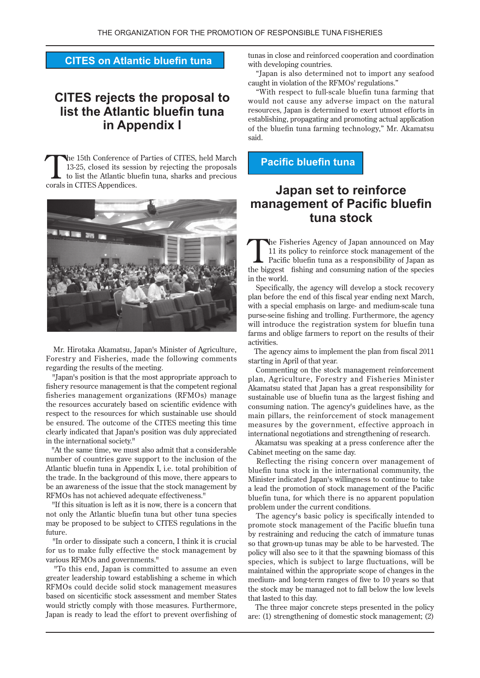### **CITES on Atlantic bluefin tuna**

# **CITES** rejects the proposal to **list the Atlantic bluefin tuna in Appendix I**

The 15th Conference of Parties of CITES, held March 13-25, closed its session by rejecting the proposals to list the Atlantic bluefin tuna, sharks and precious 13-25, closed its session by rejecting the proposals corals in CITES Appendices.



Mr. Hirotaka Akamatsu, Japan's Minister of Agriculture, Forestry and Fisheries, made the following comments regarding the results of the meeting.

"Japan's position is that the most appropriate approach to fishery resource management is that the competent regional fisheries management organizations (RFMOs) manage the resources accurately based on scientific evidence with respect to the resources for which sustainable use should be ensured. The outcome of the CITES meeting this time clearly indicated that Japan's position was duly appreciated in the international society."

"At the same time, we must also admit that a considerable number of countries gave support to the inclusion of the Atlantic bluefin tuna in Appendix I, i.e. total prohibition of the trade. In the background of this move, there appears to be an awareness of the issue that the stock management by RFMOs has not achieved adequate effectiveness."

"If this situation is left as it is now, there is a concern that not only the Atlantic bluefin tuna but other tuna species may be proposed to be subject to CITES regulations in the .future

"In order to dissipate such a concern, I think it is crucial for us to make fully effective the stock management by various RFMOs and governments."

"To this end, Japan is committed to assume an even greater leadership toward establishing a scheme in which RFMOs could decide solid stock management measures based on sicenticific stock assessment and member States would strictly comply with those measures. Furthermore, Japan is ready to lead the effort to prevent overfishing of tunas in close and reinforced cooperation and coordination with developing countries.

"Japan is also determined not to import any seafood caught in violation of the RFMOs' regulations."

"With respect to full-scale bluefin tuna farming that would not cause any adverse impact on the natural resources, Japan is determined to exert utmost efforts in establishing, propagating and promoting actual application of the bluefin tuna farming technology," Mr. Akamatsu said.

**Pacific bluefin tuna** 

## **Japan set to reinforce management of Pacific bluefin tuna** stock

The Fisheries Agency of Japan announced on May<br>11 its policy to reinforce stock management of the<br>Pacific bluefin tuna as a responsibility of Japan as<br>the biggest fishing and appearing a prior of the appears 11 its policy to reinforce stock management of the the biggest fishing and consuming nation of the species in the world.

Specifically, the agency will develop a stock recovery plan before the end of this fiscal year ending next March, with a special emphasis on large- and medium-scale tuna purse-seine fishing and trolling. Furthermore, the agency will introduce the registration system for bluefin tuna farms and oblige farmers to report on the results of their .activities

The agency aims to implement the plan from fiscal 2011 starting in April of that year.

Commenting on the stock management reinforcement plan, Agriculture, Forestry and Fisheries Minister Akamatsu stated that Japan has a great responsibility for sustainable use of bluefin tuna as the largest fishing and consuming nation. The agency's guidelines have, as the main pillars, the reinforcement of stock management measures by the government, effective approach in international negotiations and strengthening of research.

Akamatsu was speaking at a press conference after the Cabinet meeting on the same day.

Reflecting the rising concern over management of bluefin tuna stock in the international community, the Minister indicated Japan's willingness to continue to take a lead the promotion of stock management of the Pacific bluefin tuna, for which there is no apparent population problem under the current conditions.

The agency's basic policy is specifically intended to promote stock management of the Pacific bluefin tuna by restraining and reducing the catch of immature tunas so that grown-up tunas may be able to be harvested. The policy will also see to it that the spawning biomass of this species, which is subject to large fluctuations, will be maintained within the appropriate scope of changes in the medium- and long-term ranges of five to 10 years so that the stock may be managed not to fall below the low levels that lasted to this day.

The three major concrete steps presented in the policy are: (1) strengthening of domestic stock management;  $(2)$